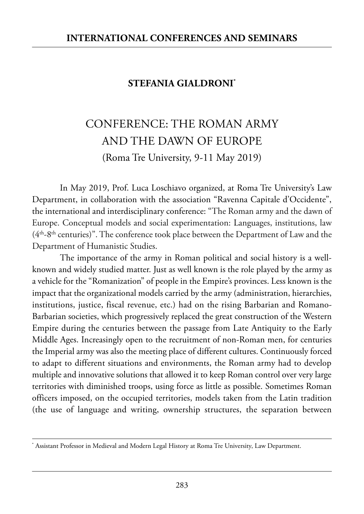## **STEFANIA GIALDRONI\***

## CONFERENCE: THE ROMAN ARMY AND THE DAWN OF EUROPE (Roma Tre University, 9-11 May 2019)

In May 2019, Prof. Luca Loschiavo organized, at Roma Tre University's Law Department, in collaboration with the association "Ravenna Capitale d'Occidente", the international and interdisciplinary conference: "The Roman army and the dawn of Europe. Conceptual models and social experimentation: Languages, institutions, law  $(4<sup>th</sup>-8<sup>th</sup>$  centuries)". The conference took place between the Department of Law and the Department of Humanistic Studies.

The importance of the army in Roman political and social history is a wellknown and widely studied matter. Just as well known is the role played by the army as a vehicle for the "Romanization" of people in the Empire's provinces. Less known is the impact that the organizational models carried by the army (administration, hierarchies, institutions, justice, fiscal revenue, etc.) had on the rising Barbarian and Romano-Barbarian societies, which progressively replaced the great construction of the Western Empire during the centuries between the passage from Late Antiquity to the Early Middle Ages. Increasingly open to the recruitment of non-Roman men, for centuries the Imperial army was also the meeting place of different cultures. Continuously forced to adapt to different situations and environments, the Roman army had to develop multiple and innovative solutions that allowed it to keep Roman control over very large territories with diminished troops, using force as little as possible. Sometimes Roman officers imposed, on the occupied territories, models taken from the Latin tradition (the use of language and writing, ownership structures, the separation between

<sup>\*</sup> Assistant Professor in Medieval and Modern Legal History at Roma Tre University, Law Department.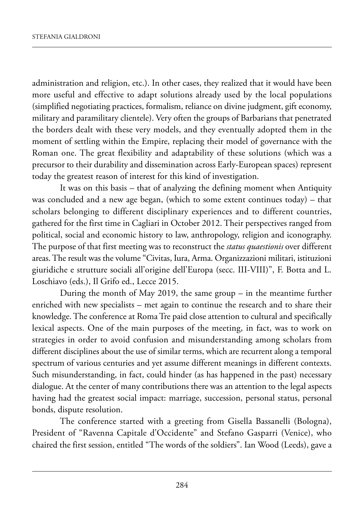administration and religion, etc.). in other cases, they realized that it would have been more useful and effective to adapt solutions already used by the local populations (simplified negotiating practices, formalism, reliance on divine judgment, gift economy, military and paramilitary clientele). Very often the groups of Barbarians that penetrated the borders dealt with these very models, and they eventually adopted them in the moment of settling within the Empire, replacing their model of governance with the Roman one. The great flexibility and adaptability of these solutions (which was a precursor to their durability and dissemination across Early-European spaces) represent today the greatest reason of interest for this kind of investigation.

It was on this basis – that of analyzing the defining moment when Antiquity was concluded and a new age began, (which to some extent continues today) – that scholars belonging to different disciplinary experiences and to different countries, gathered for the first time in Cagliari in October 2012. Their perspectives ranged from political, social and economic history to law, anthropology, religion and iconography. the purpose of that first meeting was to reconstruct the *status quaestionis* over different areas. The result was the volume "Civitas, Iura, Arma. Organizzazioni militari, istituzioni giuridiche e strutture sociali all'origine dell'Europa (secc. III-VIII)", F. Botta and L. loschiavo (eds.), il Grifo ed., lecce 2015.

During the month of May 2019, the same group – in the meantime further enriched with new specialists – met again to continue the research and to share their knowledge. The conference at Roma Tre paid close attention to cultural and specifically lexical aspects. One of the main purposes of the meeting, in fact, was to work on strategies in order to avoid confusion and misunderstanding among scholars from different disciplines about the use of similar terms, which are recurrent along a temporal spectrum of various centuries and yet assume different meanings in different contexts. such misunderstanding, in fact, could hinder (as has happened in the past) necessary dialogue. At the center of many contributions there was an attention to the legal aspects having had the greatest social impact: marriage, succession, personal status, personal bonds, dispute resolution.

The conference started with a greeting from Gisella Bassanelli (Bologna), President of "Ravenna Capitale d'Occidente" and Stefano Gasparri (Venice), who chaired the first session, entitled "The words of the soldiers". Ian Wood (Leeds), gave a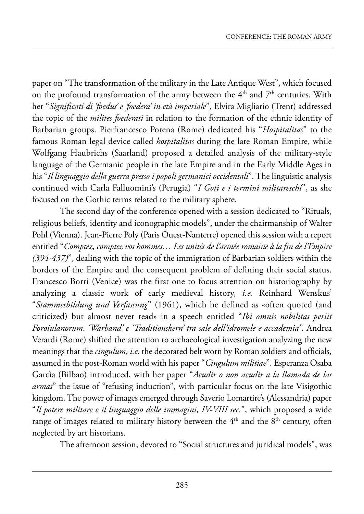paper on "The transformation of the military in the Late Antique West", which focused on the profound transformation of the army between the  $4<sup>th</sup>$  and  $7<sup>th</sup>$  centuries. With her "Significati di 'foedus' e 'foedera' in età imperiale", Elvira Migliario (Trent) addressed the topic of the *milites foederati* in relation to the formation of the ethnic identity of Barbarian groups. Pierfrancesco Porena (Rome) dedicated his "*Hospitalitas*" to the famous Roman legal device called *hospitalitas* during the late Roman Empire, while wolfgang haubrichs (saarland) proposed a detailed analysis of the military-style language of the Germanic people in the late Empire and in the Early Middle Ages in his "*Il linguaggio della guerra presso i popoli germanici occidentali*". The linguistic analysis continued with Carla falluomini's (perugia) "*I Goti e i termini militareschi*", as she focused on the Gothic terms related to the military sphere.

The second day of the conference opened with a session dedicated to "Rituals, religious beliefs, identity and iconographic models", under the chairmanship of walter Pohl (Vienna). Jean-Pierre Poly (Paris Ouest-Nanterre) opened this session with a report entitled "*Comptez, comptez vos hommes… Les unités de l'armée romaine à la fin de l'Empire (394-437)*", dealing with the topic of the immigration of Barbarian soldiers within the borders of the Empire and the consequent problem of defining their social status. francesco Borri (Venice) was the first one to focus attention on historiography by analyzing a classic work of early medieval history, *i.e.* Reinhard Wenskus' "*Stammesbildung und Verfassung*" (1961), which he defined as «often quoted (and criticized) but almost never read» in a speech entitled "*Ibi omnis nobilitas periit Foroiulanorum. 'Warband' e 'Traditionskern' tra sale dell'idromele e accademia". Andrea* Verardi (Rome) shifted the attention to archaeological investigation analyzing the new meanings that the *cingulum*, *i.e.* the decorated belt worn by Roman soldiers and officials, assumed in the post-Roman world with his paper "*Cingulum militiae*". Esperanza Osaba Garcìa (Bilbao) introduced, with her paper "*Acudir o non acudir a la llamada de las armas*" the issue of "refusing induction", with particular focus on the late Visigothic kingdom. the power of images emerged through saverio lomartire's (alessandria) paper "*Il potere militare e il linguaggio delle immagini, IV-VIII sec.*", which proposed a wide range of images related to military history between the  $4<sup>th</sup>$  and the  $8<sup>th</sup>$  century, often neglected by art historians.

The afternoon session, devoted to "Social structures and juridical models", was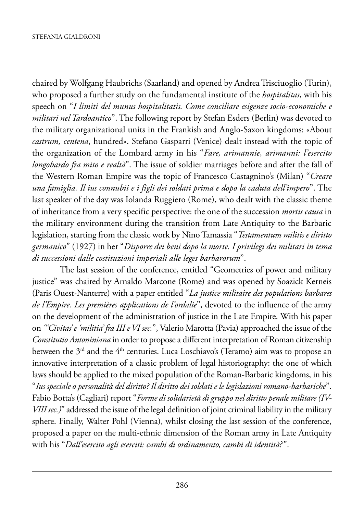chaired by Wolfgang Haubrichs (Saarland) and opened by Andrea Trisciuoglio (Turin), who proposed a further study on the fundamental institute of the *hospitalitas*, with his speech on "*I limiti del munus hospitalitatis. Come conciliare esigenze socio-economiche e militari nel Tardoantico*". The following report by Stefan Esders (Berlin) was devoted to the military organizational units in the Frankish and Anglo-Saxon kingdoms: «About *castrum, centena*, hundred». stefano Gasparri (Venice) dealt instead with the topic of the organization of the lombard army in his "*Fare, arimannie, arimanni: l'esercito longobardo fra mito e realtà*". The issue of soldier marriages before and after the fall of the Western Roman Empire was the topic of Francesco Castagnino's (Milan) "*Creare una famiglia. Il ius connubii e i figli dei soldati prima e dopo la caduta dell'impero*". the last speaker of the day was Iolanda Ruggiero (Rome), who dealt with the classic theme of inheritance from a very specific perspective: the one of the succession *mortis causa* in the military environment during the transition from Late Antiquity to the Barbaric legislation, starting from the classic work by Nino Tamassia "*Testamentum militis e diritto germanico*" (1927) in her "*Disporre dei beni dopo la morte. I privilegi dei militari in tema di successioni dalle costituzioni imperiali alle leges barbarorum*".

The last session of the conference, entitled "Geometries of power and military justice" was chaired by Arnaldo Marcone (Rome) and was opened by Soazick Kerneis (Paris Ouest-Nanterre) with a paper entitled "*La justice militaire des populations barbares de l'Empire. Les premières applications de l'ordalie*", devoted to the influence of the army on the development of the administration of justice in the Late Empire. With his paper on *"'Civitas' e 'militia' fra III e VI sec.*", Valerio marotta (pavia) approached the issue of the *Constitutio Antoniniana* in order to propose a different interpretation of Roman citizenship between the  $3<sup>rd</sup>$  and the  $4<sup>th</sup>$  centuries. Luca Loschiavo's (Teramo) aim was to propose an innovative interpretation of a classic problem of legal historiography: the one of which laws should be applied to the mixed population of the Roman-Barbaric kingdoms, in his "*Ius speciale o personalità del diritto? Il diritto dei soldati e le legislazioni romano-barbariche*". fabio Botta's (Cagliari) report "*Forme di solidarietà di gruppo nel diritto penale militare (IV-VIII sec.)*" addressed the issue of the legal definition of joint criminal liability in the military sphere. finally, walter pohl (Vienna), whilst closing the last session of the conference, proposed a paper on the multi-ethnic dimension of the Roman army in Late Antiquity with his "*Dall'esercito agli eserciti: cambi di ordinamento, cambi di identità?* ".